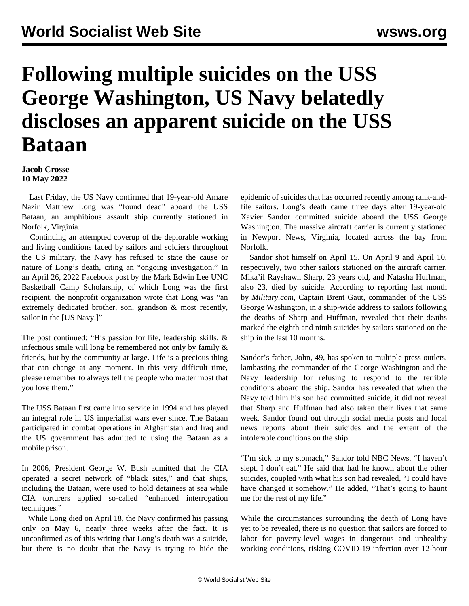## **Following multiple suicides on the USS George Washington, US Navy belatedly discloses an apparent suicide on the USS Bataan**

**Jacob Crosse 10 May 2022**

 Last Friday, the US Navy confirmed that 19-year-old Amare Nazir Matthew Long was "found dead" aboard the USS Bataan, an amphibious assault ship currently stationed in Norfolk, Virginia.

 Continuing an attempted coverup of the deplorable working and living conditions faced by sailors and soldiers throughout the US military, the Navy has refused to state the cause or nature of Long's death, citing an "ongoing investigation." In an April 26, 2022 Facebook post by the Mark Edwin Lee UNC Basketball Camp Scholarship, of which Long was the first recipient, the nonprofit organization wrote that Long was "an extremely dedicated brother, son, grandson & most recently, sailor in the [US Navy.]"

The post continued: "His passion for life, leadership skills, & infectious smile will long be remembered not only by family  $\&$ friends, but by the community at large. Life is a precious thing that can change at any moment. In this very difficult time, please remember to always tell the people who matter most that you love them."

The USS Bataan first came into service in 1994 and has played an integral role in US imperialist wars ever since. The Bataan participated in combat operations in Afghanistan and Iraq and the US government has admitted to using the Bataan as a mobile prison.

In 2006, President George W. Bush admitted that the CIA operated a secret network of "black sites," and that ships, including the Bataan, were used to hold detainees at sea while CIA torturers applied so-called "enhanced interrogation techniques."

 While Long died on April 18, the Navy confirmed his passing only on May 6, nearly three weeks after the fact. It is unconfirmed as of this writing that Long's death was a suicide, but there is no doubt that the Navy is trying to hide the

epidemic of suicides that has occurred recently among rank-andfile sailors. Long's death came three days after 19-year-old Xavier Sandor committed suicide aboard the USS George Washington. The massive aircraft carrier is currently stationed in Newport News, Virginia, located across the bay from Norfolk.

 Sandor shot himself on April 15. On April 9 and April 10, respectively, two other sailors stationed on the aircraft carrier, Mika'il Rayshawn Sharp, 23 years old, and Natasha Huffman, also 23, died by suicide. According to reporting last month by *Military.com*, Captain Brent Gaut, commander of the USS George Washington, in a ship-wide address to sailors following the deaths of Sharp and Huffman, revealed that their deaths marked the eighth and ninth suicides by sailors stationed on the ship in the last 10 months.

Sandor's father, John, 49, has spoken to multiple press outlets, lambasting the commander of the George Washington and the Navy leadership for refusing to respond to the terrible conditions aboard the ship. Sandor has revealed that when the Navy told him his son had committed suicide, it did not reveal that Sharp and Huffman had also taken their lives that same week. Sandor found out through social media posts and local news reports about their suicides and the extent of the intolerable conditions on the ship.

"I'm sick to my stomach," Sandor told NBC News. "I haven't slept. I don't eat." He said that had he known about the other suicides, coupled with what his son had revealed, "I could have have changed it somehow." He added, "That's going to haunt me for the rest of my life."

While the circumstances surrounding the death of Long have yet to be revealed, there is no question that sailors are forced to labor for poverty-level wages in dangerous and unhealthy working conditions, risking COVID-19 infection over 12-hour